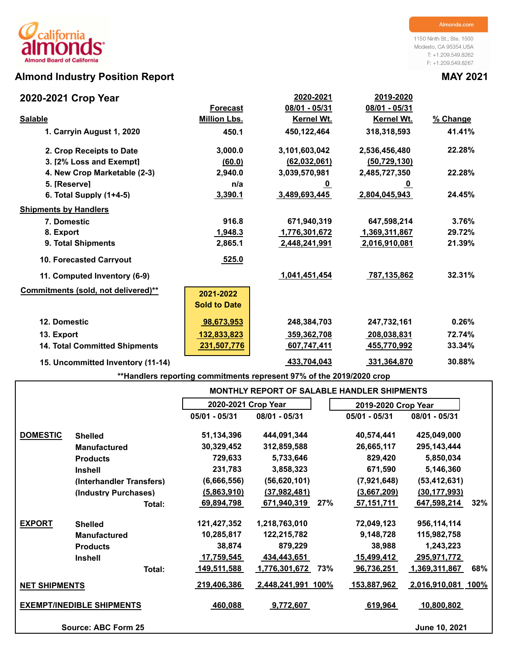# **Almond Industry Position Report MAY 2021**

1150 Ninth St., Ste. 1500 Modesto, CA 95354 USA T: +1.209.549.8262 F: +1.209.549.8267

| 2020-2021 Crop Year                  |                     | 2020-2021      | 2019-2020         |          |
|--------------------------------------|---------------------|----------------|-------------------|----------|
|                                      | <b>Forecast</b>     | 08/01 - 05/31  | 08/01 - 05/31     |          |
| <b>Salable</b>                       | <b>Million Lbs.</b> | Kernel Wt.     | <b>Kernel Wt.</b> | % Change |
| 1. Carryin August 1, 2020            | 450.1               | 450,122,464    | 318,318,593       | 41.41%   |
| 2. Crop Receipts to Date             | 3,000.0             | 3,101,603,042  | 2,536,456,480     | 22.28%   |
| 3. [2% Loss and Exempt]              | (60.0)              | (62, 032, 061) | (50, 729, 130)    |          |
| 4. New Crop Marketable (2-3)         | 2,940.0             | 3,039,570,981  | 2,485,727,350     | 22.28%   |
| 5. [Reserve]                         | n/a                 | <u>_0</u>      | <u>_0</u>         |          |
| 6. Total Supply $(1+4-5)$            | 3,390.1             | 3,489,693,445  | 2,804,045,943     | 24.45%   |
| <b>Shipments by Handlers</b>         |                     |                |                   |          |
| 7. Domestic                          | 916.8               | 671,940,319    | 647,598,214       | 3.76%    |
| 8. Export                            | 1,948.3             | 1,776,301,672  | 1,369,311,867     | 29.72%   |
| 9. Total Shipments                   | 2,865.1             | 2,448,241,991  | 2,016,910,081     | 21.39%   |
| <b>10. Forecasted Carryout</b>       | 525.0               |                |                   |          |
| 11. Computed Inventory (6-9)         |                     | 1,041,451,454  | 787,135,862       | 32.31%   |
| Commitments (sold, not delivered)**  | 2021-2022           |                |                   |          |
|                                      | <b>Sold to Date</b> |                |                   |          |
| 12. Domestic                         | 98,673,953          | 248,384,703    | 247,732,161       | 0.26%    |
| 13. Export                           | 132,833,823         | 359,362,708    | 208,038,831       | 72.74%   |
| <b>14. Total Committed Shipments</b> | 231,507,776         | 607,747,411    | 455,770,992       | 33.34%   |
| 15. Uncommitted Inventory (11-14)    |                     | 433,704,043    | 331,364,870       | 30.88%   |

**\*\*Handlers reporting commitments represent 97% of the 2019/2020 crop**

|                      |                                  |                     |                           |     | <b>MONTHLY REPORT OF SALABLE HANDLER SHIPMENTS</b> |                    |     |
|----------------------|----------------------------------|---------------------|---------------------------|-----|----------------------------------------------------|--------------------|-----|
|                      |                                  | 2020-2021 Crop Year |                           |     | 2019-2020 Crop Year                                |                    |     |
|                      |                                  | $05/01 - 05/31$     | 08/01 - 05/31             |     | 05/01 - 05/31                                      | 08/01 - 05/31      |     |
| <b>DOMESTIC</b>      | <b>Shelled</b>                   | 51,134,396          | 444,091,344               |     | 40,574,441                                         | 425,049,000        |     |
|                      | <b>Manufactured</b>              | 30,329,452          | 312,859,588               |     | 26,665,117                                         | 295, 143, 444      |     |
|                      | <b>Products</b>                  | 729,633             | 5,733,646                 |     | 829,420                                            | 5,850,034          |     |
|                      | <b>Inshell</b>                   | 231,783             | 3,858,323                 |     | 671,590                                            | 5,146,360          |     |
|                      | (Interhandler Transfers)         | (6,666,556)         | (56, 620, 101)            |     | (7,921,648)                                        | (53, 412, 631)     |     |
|                      | (Industry Purchases)             | (5,863,910)         | (37, 982, 481)            |     | (3,667,209)                                        | (30, 177, 993)     |     |
|                      | Total:                           | 69,894,798          | 671,940,319               | 27% | 57,151,711                                         | 647,598,214        | 32% |
| <b>EXPORT</b>        | <b>Shelled</b>                   | 121,427,352         | 1,218,763,010             |     | 72,049,123                                         | 956,114,114        |     |
|                      | <b>Manufactured</b>              | 10,285,817          | 122,215,782               |     | 9,148,728                                          | 115,982,758        |     |
|                      | <b>Products</b>                  | 38,874              | 879,229                   |     | 38,988                                             | 1,243,223          |     |
|                      | <b>Inshell</b>                   | 17,759,545          | 434,443,651               |     | 15,499,412                                         | 295,971,772        |     |
|                      | Total:                           | 149,511,588         | 1,776,301,672             | 73% | 96,736,251                                         | 1,369,311,867      | 68% |
| <b>NET SHIPMENTS</b> |                                  | 219,406,386         | <u>2,448,241,991 100%</u> |     | <u> 153,887,962 </u>                               | 2,016,910,081 100% |     |
|                      | <b>EXEMPT/INEDIBLE SHIPMENTS</b> | 460,088             | 9,772,607                 |     | 619,964                                            | 10,800,802         |     |
|                      | Source: ABC Form 25              |                     |                           |     |                                                    | June 10, 2021      |     |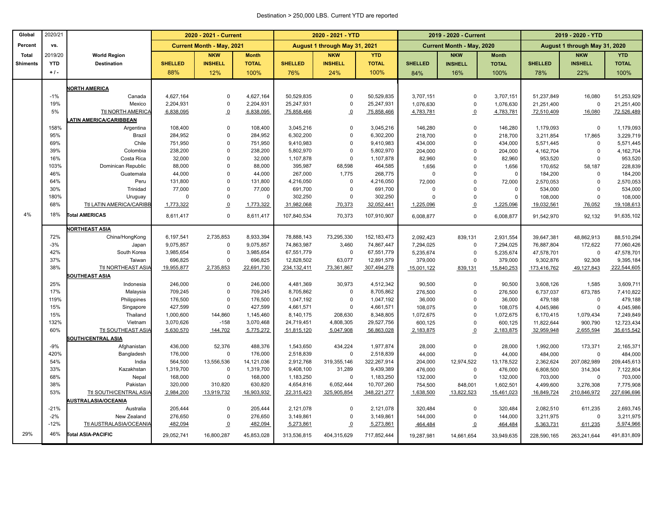#### Destination > 250,000 LBS. Current YTD are reported

| Global          | 2020/21     |                            |                    | 2020 - 2021 - Current            |                    |                        | 2020 - 2021 - YTD             |                        |                    | 2019 - 2020 - Current            |                    |                      | 2019 - 2020 - YTD             |                      |
|-----------------|-------------|----------------------------|--------------------|----------------------------------|--------------------|------------------------|-------------------------------|------------------------|--------------------|----------------------------------|--------------------|----------------------|-------------------------------|----------------------|
| Percent         | vs.         |                            |                    | <b>Current Month - May, 2021</b> |                    |                        | August 1 through May 31, 2021 |                        |                    | <b>Current Month - May, 2020</b> |                    |                      | August 1 through May 31, 2020 |                      |
| Total           | 2019/20     | <b>World Region</b>        |                    | <b>NKW</b>                       | <b>Month</b>       |                        | <b>NKW</b>                    | <b>YTD</b>             |                    | <b>NKW</b>                       | <b>Month</b>       |                      | <b>NKW</b>                    | <b>YTD</b>           |
| <b>Shiments</b> | <b>YTD</b>  | <b>Destination</b>         | <b>SHELLED</b>     | <b>INSHELL</b>                   | <b>TOTAL</b>       | <b>SHELLED</b>         | <b>INSHELL</b>                | <b>TOTAL</b>           | <b>SHELLED</b>     | <b>INSHELL</b>                   | <b>TOTAL</b>       | <b>SHELLED</b>       | <b>INSHELL</b>                | <b>TOTAL</b>         |
|                 | $+1$ .      |                            | 88%                | 12%                              | 100%               | 76%                    | 24%                           | 100%                   | 84%                | 16%                              | 100%               | 78%                  | 22%                           | 100%                 |
|                 |             | <b>IORTH AMERICA</b>       |                    |                                  |                    |                        |                               |                        |                    |                                  |                    |                      |                               |                      |
|                 | $-1%$       | Canada                     | 4,627,164          | $\Omega$                         | 4,627,164          | 50,529,835             | $\Omega$                      | 50,529,835             | 3,707,151          | 0                                | 3,707,151          | 51,237,849           | 16,080                        | 51,253,929           |
|                 | 19%         | Mexico                     | 2,204,931          | $\mathbf 0$                      | 2,204,931          | 25,247,931             | $\Omega$                      | 25,247,931             | 1,076,630          | 0                                | 1,076,630          | 21,251,400           | $\mathbf 0$                   | 21,251,400           |
|                 | 5%          | <b>Ttl NORTH AMERICA</b>   | 6,838,095          | $\overline{0}$                   | 6,838,095          | 75,858,466             | $\Omega$                      | 75,858,466             | 4,783,781          | $\overline{0}$                   | 4,783,781          | 72,510,409           | 16,080                        | 72,526,489           |
|                 |             | ATIN AMERICA/CARIBBEAN     |                    |                                  |                    |                        |                               |                        |                    |                                  |                    |                      |                               |                      |
|                 | 158%        | Argentina                  | 108,400            | $\Omega$                         | 108,400            | 3,045,216              | $\mathsf 0$                   | 3,045,216              | 146,280            | $\Omega$                         | 146,280            | 1,179,093            | $\Omega$                      | 1,179,093            |
|                 | 95%         | Brazil                     | 284,952            | $\Omega$                         | 284,952            | 6,302,200              | $\Omega$                      | 6,302,200              | 218,700            | $\mathbf 0$                      | 218,700            | 3,211,854            | 17,865                        | 3,229,719            |
|                 | 69%         | Chile                      | 751,950            | $\Omega$                         | 751,950            | 9,410,983              | $\Omega$                      | 9,410,983              | 434,000            | $\Omega$                         | 434,000            | 5,571,445            | $\Omega$                      | 5,571,445            |
|                 | 39%         | Colombia                   | 238,200            | $\Omega$                         | 238,200            | 5,802,970              | $\mathbf 0$                   | 5,802,970              | 204,000            | $\mathbf{0}$                     | 204,000            | 4,162,704            | $\Omega$                      | 4,162,704            |
|                 | 16%         | Costa Rica                 | 32,000             | $\mathbf 0$                      | 32,000             | 1,107,878              | $\mathsf 0$                   | 1,107,878              | 82,960             | 0                                | 82,960             | 953,520              | $\Omega$                      | 953,520              |
|                 | 103%        | Dominican Republic         | 88,000             | $\Omega$                         | 88,000             | 395,987                | 68,598                        | 464,585                | 1,656              | $\Omega$                         | 1,656              | 170,652              | 58,187                        | 228,839              |
|                 | 46%         | Guatemala                  | 44,000             | $\Omega$                         | 44,000             | 267,000                | 1,775                         | 268,775                | $\Omega$           | 0                                | $\Omega$           | 184,200              | $\Omega$                      | 184,200              |
|                 | 64%         | Peru                       | 131,800            | $\Omega$                         | 131,800            | 4,216,050              | $\mathsf 0$                   | 4,216,050              | 72,000<br>$\Omega$ | $\Omega$                         | 72,000<br>$\Omega$ | 2,570,053            | $\Omega$<br>$\Omega$          | 2,570,053            |
|                 | 30%<br>180% | Trinidad<br>Uruguay        | 77,000<br>$\Omega$ | $\Omega$<br>$\Omega$             | 77,000<br>0        | 691,700<br>302,250     | $\mathbf 0$<br>$\Omega$       | 691,700<br>302,250     | $\Omega$           | 0<br>$\Omega$                    | $\Omega$           | 534,000<br>108,000   | $\Omega$                      | 534,000<br>108,000   |
|                 | 68%         | Ttl LATIN AMERICA/CARIBB   | 1,773,322          | $\Omega$                         | 1,773,322          | 31,982,068             | 70,373                        | 32,052,441             | 1,225,096          | $\overline{0}$                   | 1,225,096          | 19,032,561           | 76,052                        | 19,108,613           |
|                 |             |                            |                    |                                  |                    |                        |                               |                        |                    |                                  |                    |                      |                               |                      |
| 4%              | 18%         | <b>Total AMERICAS</b>      | 8,611,417          | $\mathbf 0$                      | 8,611,417          | 107,840,534            | 70,373                        | 107,910,907            | 6,008,877          | $\Omega$                         | 6,008,877          | 91,542,970           | 92,132                        | 91,635,102           |
|                 |             | <b>IORTHEAST ASIA</b>      |                    |                                  |                    |                        |                               |                        |                    |                                  |                    |                      |                               |                      |
|                 | 72%         | China/HongKong             | 6,197,541          | 2,735,853                        | 8,933,394          | 78,888,143             | 73,295,330                    | 152, 183, 473          | 2,092,423          | 839,131                          | 2,931,554          | 39,647,381           | 48,862,913                    | 88,510,294           |
|                 | $-3%$       | Japan                      | 9,075,857          | $\mathbf 0$                      | 9,075,857          | 74,863,987             | 3,460                         | 74,867,447             | 7,294,025          | $\mathbf 0$                      | 7,294,025          | 76,887,804           | 172,622                       | 77,060,426           |
|                 | 42%         | South Korea                | 3,985,654          | $\Omega$                         | 3,985,654          | 67,551,779             | $\mathsf 0$                   | 67,551,779             | 5,235,674          | $\mathbf 0$                      | 5,235,674          | 47,578,701           | $\Omega$                      | 47,578,701           |
|                 | 37%         | Taiwan                     | 696,825            | $\Omega$                         | 696,825            | 12,828,502             | 63,077                        | 12,891,579             | 379,000            | $\Omega$                         | 379,000            | 9,302,876            | 92,308                        | 9,395,184            |
|                 | 38%         | Ttl NORTHEAST ASIA         | 19,955,877         | 2,735,853                        | 22,691,730         | 234, 132, 411          | 73,361,867                    | 307,494,278            | 15,001,122         | 839,131                          | 15,840,253         | 173,416,762          | 49,127,843                    | 222,544,605          |
|                 |             | SOUTHEAST ASIA             |                    |                                  |                    |                        |                               |                        |                    |                                  |                    |                      |                               |                      |
|                 | 25%         | Indonesia                  | 246,000            | $\mathbf 0$                      | 246,000            | 4,481,369              | 30,973                        | 4,512,342              | 90,500             | 0                                | 90,500             | 3,608,126            | 1,585                         | 3,609,711            |
|                 | 17%         | Malaysia                   | 709,245            | $\Omega$<br>$\mathbf 0$          | 709,245            | 8,705,862              | $\mathbf 0$                   | 8,705,862              | 276,500            | $\Omega$<br>$\Omega$             | 276,500            | 6,737,037            | 673,785<br>$\Omega$           | 7,410,822            |
|                 | 119%<br>15% | Philippines<br>Singapore   | 176,500<br>427,599 | $\mathbf 0$                      | 176,500<br>427,599 | 1,047,192<br>4,661,571 | $\mathsf 0$<br>$\mathbf 0$    | 1,047,192<br>4,661,571 | 36,000<br>108,075  | 0                                | 36,000<br>108,075  | 479,188<br>4,045,986 | $\Omega$                      | 479,188<br>4,045,986 |
|                 | 15%         | Thailand                   | 1,000,600          | 144,860                          | 1,145,460          | 8,140,175              | 208,630                       | 8,348,805              | 1,072,675          | $\Omega$                         | 1,072,675          | 6,170,415            | 1,079,434                     | 7,249,849            |
|                 | 132%        | Vietnam                    | 3,070,626          | $-158$                           | 3,070,468          | 24,719,451             | 4,808,305                     | 29,527,756             | 600,125            | $\Omega$                         | 600,125            | 11,822,644           | 900,790                       | 12,723,434           |
|                 | 60%         | Ttl SOUTHEAST ASIA         | 5,630,570          | 144,702                          | 5,775,272          | 51,815,120             | 5,047,908                     | 56,863,028             | 2,183,875          | $\overline{0}$                   | 2,183,875          | 32,959,948           | 2,655,594                     | 35,615,542           |
|                 |             | SOUTH/CENTRAL ASIA         |                    |                                  |                    |                        |                               |                        |                    |                                  |                    |                      |                               |                      |
|                 | $-9%$       | Afghanistan                | 436,000            | 52,376                           | 488,376            | 1,543,650              | 434.224                       | 1,977,874              | 28,000             | $\Omega$                         | 28,000             | 1,992,000            | 173,371                       | 2,165,371            |
|                 | 420%        | Bangladesh                 | 176,000            | $\pmb{0}$                        | 176,000            | 2,518,839              | $\mathsf 0$                   | 2,518,839              | 44,000             | $\Omega$                         | 44,000             | 484,000              | $\Omega$                      | 484,000              |
|                 | 54%         | India                      | 564,500            | 13,556,536                       | 14,121,036         | 2,912,768              | 319,355,146                   | 322,267,914            | 204,000            | 12,974,522                       | 13,178,522         | 2,362,624            | 207,082,989                   | 209,445,613          |
|                 | 33%         | Kazakhstan                 | 1,319,700          | $\mathbf 0$                      | 1,319,700          | 9,408,100              | 31,289                        | 9,439,389              | 476,000            | $\Omega$                         | 476,000            | 6,808,500            | 314,304                       | 7,122,804            |
|                 | 68%         | Nepal                      | 168,000            | $\mathbf 0$                      | 168,000            | 1,183,250              | $\mathbf 0$                   | 1,183,250              | 132,000            | $\Omega$                         | 132,000            | 703,000              | $\Omega$                      | 703,000              |
|                 | 38%         | Pakistan                   | 320,000            | 310,820                          | 630,820            | 4,654,816              | 6,052,444                     | 10,707,260             | 754,500            | 848,001                          | 1,602,501          | 4,499,600            | 3,276,308                     | 7,775,908            |
|                 | 53%         | Ttl SOUTH/CENTRAL ASIA     | 2,984,200          | 13,919,732                       | 16,903,932         | 22,315,423             | 325,905,854                   | 348,221,277            | 1,638,500          | 13,822,523                       | 15,461,023         | 16,849,724           | 210,846,972                   | 227,696,696          |
|                 |             | <b>IUSTRALASIA/OCEANIA</b> |                    |                                  |                    |                        |                               |                        |                    |                                  |                    |                      |                               |                      |
|                 | $-21%$      | Australia                  | 205,444            | $\Omega$                         | 205,444            | 2,121,078              | $\Omega$                      | 2,121,078              | 320,484            | $\Omega$                         | 320,484            | 2,082,510            | 611,235                       | 2,693,745            |
|                 | $-2%$       | New Zealand                | 276,650            | $\mathbf 0$                      | 276,650            | 3,149,861              | $\mathbf 0$                   | 3,149,861              | 144,000            | $\Omega$                         | 144,000            | 3,211,975            | $\mathbf 0$                   | 3,211,975            |
|                 | $-12%$      | Ttl AUSTRALASIA/OCEANIA    | 482,094            | $\overline{0}$                   | 482,094            | 5,273,861              | $\overline{o}$                | 5,273,861              | 464,484            | $\overline{0}$                   | 464,484            | 5,363,731            | 611,235                       | 5,974,966            |
| 29%             | 46%         | <b>Total ASIA-PACIFIC</b>  | 29,052,741         | 16.800.287                       | 45,853,028         | 313,536,815            | 404,315,629                   | 717,852,444            | 19.287.981         | 14.661.654                       | 33.949.635         | 228.590.165          | 263.241.644                   | 491,831,809          |
|                 |             |                            |                    |                                  |                    |                        |                               |                        |                    |                                  |                    |                      |                               |                      |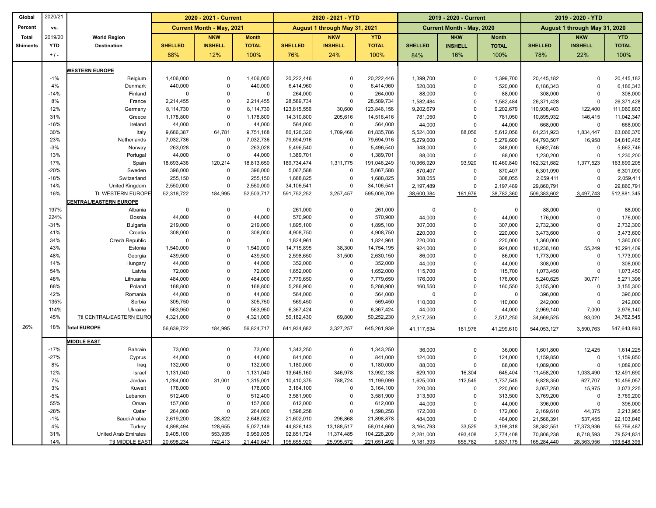| Global          | 2020/21      |                              | 2020 - 2021 - Current  |                                  |                        |                           | 2020 - 2021 - YTD             |                           |                        | 2019 - 2020 - Current            |                        | 2019 - 2020 - YTD             |                         |                           |  |
|-----------------|--------------|------------------------------|------------------------|----------------------------------|------------------------|---------------------------|-------------------------------|---------------------------|------------------------|----------------------------------|------------------------|-------------------------------|-------------------------|---------------------------|--|
| Percent         | vs.          |                              |                        | <b>Current Month - May, 2021</b> |                        |                           | August 1 through May 31, 2021 |                           |                        | <b>Current Month - May, 2020</b> |                        | August 1 through May 31, 2020 |                         |                           |  |
| <b>Total</b>    | 2019/20      | <b>World Region</b>          |                        | <b>NKW</b>                       | <b>Month</b>           |                           | <b>NKW</b>                    | <b>YTD</b>                |                        | <b>NKW</b>                       | <b>Month</b>           |                               | <b>NKW</b>              | <b>YTD</b>                |  |
| <b>Shiments</b> | <b>YTD</b>   | <b>Destination</b>           | <b>SHELLED</b>         | <b>INSHELL</b>                   | <b>TOTAL</b>           | <b>SHELLED</b>            | <b>INSHELL</b>                | <b>TOTAL</b>              | <b>SHELLED</b>         | <b>INSHELL</b>                   | <b>TOTAL</b>           | <b>SHELLED</b>                | <b>INSHELL</b>          | <b>TOTAL</b>              |  |
|                 | $+1$ .       |                              | 88%                    | 12%                              | 100%                   | 76%                       | 24%                           | 100%                      | 84%                    | 16%                              | 100%                   | 78%                           | 22%                     | 100%                      |  |
|                 |              |                              |                        |                                  |                        |                           |                               |                           |                        |                                  |                        |                               |                         |                           |  |
|                 |              | <b>VESTERN EUROPE</b>        |                        |                                  |                        |                           |                               |                           |                        |                                  |                        |                               |                         |                           |  |
|                 | $-1%$<br>4%  | Belgium                      | 1,406,000              | $\Omega$<br>$\Omega$             | 1,406,000              | 20,222,446                | $\Omega$                      | 20,222,446                | 1,399,700              | $\mathbf 0$                      | 1,399,700              | 20,445,182                    | $\Omega$                | 20,445,182                |  |
|                 |              | Denmark                      | 440,000                | $\Omega$                         | 440,000                | 6,414,960                 | $\mathbf 0$                   | 6,414,960                 | 520,000                | $\mathbf 0$                      | 520,000                | 6,186,343                     | $\Omega$                | 6,186,343                 |  |
|                 | $-14%$<br>8% | Finland<br>France            | $\Omega$               | $\Omega$                         | $\mathbf 0$            | 264,000                   | $\mathbf 0$<br>$\mathbf 0$    | 264,000                   | 88,000                 | $\mathbf 0$<br>$\mathbf 0$       | 88,000                 | 308,000                       | $\mathbf 0$<br>$\Omega$ | 308,000                   |  |
|                 | 12%          | Germany                      | 2,214,455<br>8,114,730 | $\Omega$                         | 2,214,455<br>8,114,730 | 28,589,734<br>123,815,556 | 30,600                        | 28,589,734<br>123,846,156 | 1,582,484<br>9,202,679 | $\pmb{0}$                        | 1,582,484<br>9,202,679 | 26,371,428                    |                         | 26,371,428<br>111,060,803 |  |
|                 | 31%          | Greece                       | 1,178,800              | $\Omega$                         | 1,178,800              | 14,310,800                | 205,616                       | 14,516,416                | 781,050                | $\mathbf 0$                      | 781,050                | 110,938,403<br>10,895,932     | 122,400<br>146,415      | 11,042,347                |  |
|                 | $-16%$       | Ireland                      | 44,000                 | $\mathbf 0$                      | 44,000                 | 564,000                   | $\mathbf 0$                   | 564,000                   | 44,000                 | $\mathbf 0$                      | 44,000                 | 668,000                       | 0                       | 668,000                   |  |
|                 | 30%          | Italy                        | 9,686,387              | 64,781                           | 9,751,168              | 80,126,320                | 1,709,466                     | 81,835,786                | 5,524,000              | 88,056                           | 5,612,056              | 61,231,923                    | 1,834,447               | 63,066,370                |  |
|                 | 23%          | Netherlands                  | 7,032,736              | $\mathbf 0$                      | 7,032,736              | 79,694,916                | $\pmb{0}$                     | 79,694,916                | 5,279,600              | $\mathbf 0$                      | 5,279,600              | 64,793,507                    | 16,958                  | 64,810,465                |  |
|                 | $-3%$        | Norway                       | 263,028                | $\mathbf 0$                      | 263,028                | 5,496,540                 | $\mathbf 0$                   | 5,496,540                 | 348,000                | $\mathbf 0$                      | 348,000                | 5,662,746                     | $\mathbf 0$             | 5,662,746                 |  |
|                 | 13%          | Portugal                     | 44,000                 | $\Omega$                         | 44,000                 | 1,389,701                 | $\mathbf 0$                   | 1,389,701                 | 88,000                 | $\mathbf 0$                      | 88,000                 | 1,230,200                     | $\mathbf 0$             | 1,230,200                 |  |
|                 | 17%          | Spain                        | 18,693,436             | 120,214                          | 18,813,650             | 189,734,474               | 1,311,775                     | 191,046,249               | 10,366,920             | 93,920                           | 10,460,840             | 162,321,682                   | 1,377,523               | 163,699,205               |  |
|                 | $-20%$       | Sweden                       | 396,000                | $\Omega$                         | 396,000                | 5,067,588                 | $\mathbf 0$                   | 5,067,588                 | 870,407                | $\mathbf 0$                      | 870,407                | 6,301,090                     | 0                       | 6,301,090                 |  |
|                 | $-18%$       | Switzerland                  | 255,150                | $\Omega$                         | 255,150                | 1,688,825                 | $\mathbf 0$                   | 1,688,825                 | 308,055                | $\Omega$                         | 308,055                | 2,059,411                     | $\mathbf 0$             | 2,059,411                 |  |
|                 | 14%          | United Kingdom               | 2,550,000              | $\Omega$                         | 2,550,000              | 34,106,541                | $\mathbf 0$                   | 34,106,541                | 2,197,489              | $\Omega$                         | 2,197,489              | 29,860,791                    | $\Omega$                | 29,860,791                |  |
|                 | 16%          | Ttl WESTERN EUROPE           | 52,318,722             | 184,995                          | 52,503,717             | 591,752,252               | 3,257,457                     | 595,009,709               | 38,600,384             | 181,976                          | 38,782,360             | 509,383,602                   | 3,497,743               | 512,881,345               |  |
|                 |              | <b>ENTRAL/EASTERN EUROPE</b> |                        |                                  |                        |                           |                               |                           |                        |                                  |                        |                               |                         |                           |  |
|                 | 197%         | Albania                      | $\Omega$               | $\Omega$                         | $\Omega$               | 261,000                   | $\mathbf 0$                   | 261.000                   | $\Omega$               | $\mathbf 0$                      | $\overline{0}$         | 88,000                        | $\Omega$                | 88,000                    |  |
|                 | 224%         | Bosnia                       | 44,000                 | $\Omega$                         | 44,000                 | 570,900                   | $\mathbf 0$                   | 570,900                   | 44,000                 | $\mathbf 0$                      | 44,000                 | 176,000                       | $\mathbf 0$             | 176,000                   |  |
|                 | $-31%$       | Bulgaria                     | 219,000                | $\Omega$                         | 219,000                | 1,895,100                 | $\pmb{0}$                     | 1,895,100                 | 307,000                | $\pmb{0}$                        | 307,000                | 2,732,300                     | $\Omega$                | 2,732,300                 |  |
|                 | 41%          | Croatia                      | 308,000                | $\mathbf 0$                      | 308,000                | 4,908,750                 | $\mathbf 0$                   | 4,908,750                 | 220,000                | $\mathbf 0$                      | 220,000                | 3,473,600                     | $\mathbf 0$             | 3,473,600                 |  |
|                 | 34%          | Czech Republic               | $\Omega$               | $\Omega$                         | $\Omega$               | 1,824,961                 | $\mathbf 0$                   | 1,824,961                 | 220,000                | $\mathbf 0$                      | 220,000                | 1,360,000                     | $\Omega$                | 1,360,000                 |  |
|                 | 43%          | Estonia                      | 1,540,000              | $\mathbf 0$                      | 1,540,000              | 14,715,895                | 38,300                        | 14,754,195                | 924,000                | $\pmb{0}$                        | 924,000                | 10,236,160                    | 55,249                  | 10,291,409                |  |
|                 | 48%          | Georgia                      | 439,500                | $\Omega$                         | 439,500                | 2,598,650                 | 31,500                        | 2,630,150                 | 86,000                 | $\mathbf 0$                      | 86,000                 | 1,773,000                     | 0                       | 1,773,000                 |  |
|                 | 14%          | Hungary                      | 44,000                 | $\mathbf 0$                      | 44,000                 | 352,000                   | $\mathbf 0$                   | 352,000                   | 44,000                 | $\mathbf 0$                      | 44,000                 | 308,000                       | 0                       | 308,000                   |  |
|                 | 54%          | Latvia                       | 72,000                 | $\Omega$                         | 72,000                 | 1,652,000                 | $\mathbf 0$                   | 1,652,000                 | 115,700                | $\mathbf 0$                      | 115,700                | 1,073,450                     | $\mathsf 0$             | 1,073,450                 |  |
|                 | 48%          | Lithuania                    | 484,000                | $\Omega$                         | 484,000                | 7,779,650                 | $\mathbf 0$                   | 7,779,650                 | 176,000                | $\mathbf 0$                      | 176,000                | 5,240,625                     | 30,771                  | 5,271,396                 |  |
|                 | 68%          | Poland                       | 168,800                | $\Omega$                         | 168,800                | 5,286,900                 | $\mathbf 0$                   | 5,286,900                 | 160,550                | $\mathbf 0$                      | 160,550                | 3,155,300                     | $\Omega$                | 3,155,300                 |  |
|                 | 42%          | Romania                      | 44,000                 | $\Omega$                         | 44,000                 | 564,000                   | $\mathbf 0$                   | 564,000                   | $\overline{0}$         | $\mathbf 0$                      | $\mathbf 0$            | 396,000                       | 0                       | 396,000                   |  |
|                 | 135%         | Serbia                       | 305,750                | $\Omega$                         | 305,750                | 569,450                   | $\mathbf 0$                   | 569,450                   | 110,000                | $\mathbf 0$                      | 110,000                | 242,000                       | $\Omega$                | 242,000                   |  |
|                 | 114%         | Ukraine                      | 563,950                | $\Omega$                         | 563,950                | 6,367,424                 | $\mathbf 0$                   | 6,367,424                 | 44,000                 | $\mathbf 0$                      | 44,000                 | 2,969,140                     | 7,000                   | 2,976,140                 |  |
|                 | 45%          | Ttl CENTRAL/EASTERN EURO     | 4,321,000              | $\Omega$                         | 4,321,000              | 50,182,430                | 69,800                        | 50,252,230                | 2,517,250              | $\Omega$                         | 2,517,250              | 34,669,525                    | 93,020                  | 34,762,545                |  |
| 26%             | 18%          | Total EUROPE                 | 56,639,722             | 184,995                          | 56,824,717             | 641,934,682               | 3,327,257                     | 645,261,939               | 41,117,634             | 181,976                          | 41,299,610             | 544,053,127                   | 3,590,763               | 547,643,890               |  |
|                 |              | <b>AIDDLE EAST</b>           |                        |                                  |                        |                           |                               |                           |                        |                                  |                        |                               |                         |                           |  |
|                 | $-17%$       | Bahrain                      | 73,000                 | $\mathbf 0$                      | 73,000                 | 1,343,250                 | $\mathbf 0$                   | 1,343,250                 | 36,000                 | $\mathbf 0$                      | 36,000                 | 1,601,800                     | 12,425                  | 1,614,225                 |  |
|                 | $-27%$       | Cyprus                       | 44,000                 | $\Omega$                         | 44,000                 | 841,000                   | $\mathbf 0$                   | 841,000                   | 124,000                | $\mathbf 0$                      | 124,000                | 1,159,850                     | $\mathbf 0$             | 1,159,850                 |  |
|                 | 8%           | Iraq                         | 132,000                | $\Omega$                         | 132,000                | 1,180,000                 | $\mathsf 0$                   | 1,180,000                 | 88,000                 | $\mathbf 0$                      | 88,000                 | 1,089,000                     | $\mathbf 0$             | 1,089,000                 |  |
|                 | 12%          | Israel                       | 1,131,040              | $\Omega$                         | 1,131,040              | 13,645,160                | 346,978                       | 13,992,138                | 629,100                | 16,304                           | 645,404                | 11,458,200                    | 1,033,490               | 12,491,690                |  |
|                 | 7%           | Jordan                       | 1,284,000              | 31,001                           | 1,315,001              | 10,410,375                | 788,724                       | 11,199,099                | 1,625,000              | 112,545                          | 1,737,545              | 9,828,350                     | 627,707                 | 10,456,057                |  |
|                 | 3%           | Kuwait                       | 178,000                | $\Omega$                         | 178,000                | 3,164,100                 | $\mathbf 0$                   | 3,164,100                 | 220,000                | $\mathbf 0$                      | 220,000                | 3,057,250                     | 15,975                  | 3,073,225                 |  |
|                 | $-5%$        | Lebanon                      | 512,400                | $\mathbf 0$                      | 512,400                | 3,581,900                 | $\mathbf 0$                   | 3,581,900                 | 313,500                | $\mathbf 0$                      | 313,500                | 3,769,200                     | 0                       | 3,769,200                 |  |
|                 | 55%          | Oman                         | 157,000                | $\Omega$                         | 157,000                | 612,000                   | $\mathbf 0$                   | 612,000                   | 44,000                 | $\mathbf 0$                      | 44,000                 | 396,000                       | $\mathbf 0$             | 396,000                   |  |
|                 | $-28%$       | Qatar                        | 264,000                | $\mathbf 0$                      | 264,000                | 1,598,258                 | $\mathsf 0$                   | 1,598,258                 | 172,000                | $\mathbf 0$                      | 172,000                | 2,169,610                     | 44,375                  | 2,213,985                 |  |
|                 | $-1%$        | Saudi Arabia                 | 2,619,200              | 28,822                           | 2,648,022              | 21,602,010                | 296,868                       | 21,898,878                | 484,000                | $\mathbf 0$                      | 484,000                | 21,566,391                    | 537,455                 | 22,103,846                |  |
|                 | 4%           | Turkey                       | 4,898,494              | 128,655                          | 5,027,149              | 44,826,143                | 13,188,517                    | 58,014,660                | 3,164,793              | 33,525                           | 3,198,318              | 38,382,551                    | 17,373,936              | 55,756,487                |  |
|                 | 31%          | <b>United Arab Emirates</b>  | 9,405,100              | 553,935                          | 9,959,035              | 92,851,724                | 11,374,485                    | 104,226,209               | 2,281,000              | 493,408                          | 2,774,408              | 70,806,238                    | 8,718,593               | 79,524,831                |  |
|                 | 14%          | Ttl MIDDLE EAST              | 20,698,234             | 742,413                          | 21,440,647             | 195,655,920               | 25,995,572                    | 221,651,492               | 9,181,393              | 655,782                          | 9,837,175              | 165,284,440                   | 28,363,956              | 193,648,396               |  |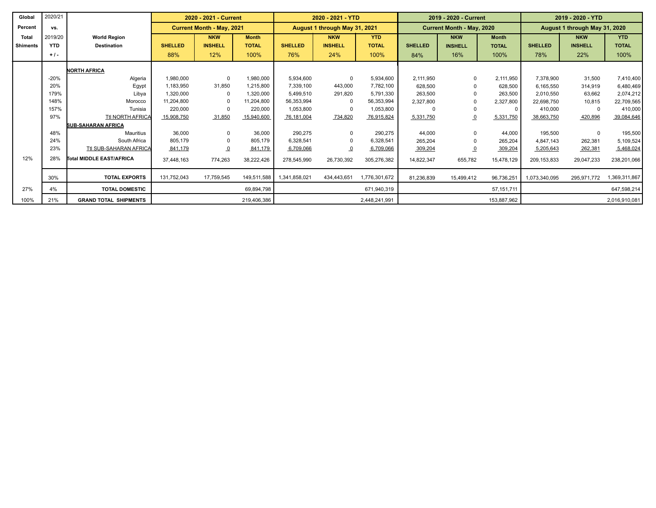| Global          | 2020/21    |                              | 2020 - 2021 - Current                                                                                 |                |              | 2020 - 2021 - YTD |                |               |                               | 2019 - 2020 - Current |              | 2019 - 2020 - YTD |                |               |  |
|-----------------|------------|------------------------------|-------------------------------------------------------------------------------------------------------|----------------|--------------|-------------------|----------------|---------------|-------------------------------|-----------------------|--------------|-------------------|----------------|---------------|--|
| Percent         | VS.        |                              | <b>Current Month - May, 2021</b><br><b>Current Month - May, 2020</b><br>August 1 through May 31, 2021 |                |              |                   |                |               | August 1 through May 31, 2020 |                       |              |                   |                |               |  |
| <b>Total</b>    | 2019/20    | <b>World Region</b>          |                                                                                                       | <b>NKW</b>     | <b>Month</b> |                   | <b>NKW</b>     | <b>YTD</b>    |                               | <b>NKW</b>            | <b>Month</b> |                   | <b>NKW</b>     | <b>YTD</b>    |  |
| <b>Shiments</b> | <b>YTD</b> | <b>Destination</b>           | <b>SHELLED</b>                                                                                        | <b>INSHELL</b> | <b>TOTAL</b> | <b>SHELLED</b>    | <b>INSHELL</b> | <b>TOTAL</b>  | <b>SHELLED</b>                | <b>INSHELL</b>        | <b>TOTAL</b> | <b>SHELLED</b>    | <b>INSHELL</b> | <b>TOTAL</b>  |  |
|                 | $+1$       |                              | 88%                                                                                                   | 12%            | 100%         | 76%               | 24%            | 100%          | 84%                           | 16%                   | 100%         | 78%               | 22%            | 100%          |  |
|                 |            | <b>NORTH AFRICA</b>          |                                                                                                       |                |              |                   |                |               |                               |                       |              |                   |                |               |  |
|                 | $-20%$     | Algeria                      | 1,980,000                                                                                             | $\Omega$       | 1,980,000    | 5,934,600         | 0              | 5,934,600     | 2,111,950                     | 0                     | 2,111,950    | 7,378,900         | 31,500         | 7,410,400     |  |
|                 | 20%        | Egypt                        | 1.183.950                                                                                             | 31.850         | 1,215,800    | 7,339,100         | 443,000        | 7,782,100     | 628,500                       |                       | 628,500      | 6,165,550         | 314,919        | 6,480,469     |  |
|                 | 179%       | Libya                        | 1.320.000                                                                                             | $\Omega$       | 1,320,000    | 5,499,510         | 291,820        | 5,791,330     | 263,500                       |                       | 263,500      | 2.010.550         | 63,662         | 2,074,212     |  |
|                 | 148%       | Morocco                      | 11.204.800                                                                                            | $\Omega$       | 11,204,800   | 56,353,994        | $\mathbf{0}$   | 56,353,994    | 2,327,800                     |                       | 2,327,800    | 22,698,750        | 10,815         | 22,709,565    |  |
|                 | 157%       | Tunisia                      | 220,000                                                                                               | $\Omega$       | 220,000      | 1,053,800         | $\mathbf 0$    | 1,053,800     |                               |                       |              | 410,000           |                | 410,000       |  |
|                 | 97%        | Ttl NORTH AFRICA             | 15,908,750                                                                                            | 31,850         | 15,940,600   | 76,181,004        | 734,820        | 76,915,824    | 5,331,750                     |                       | 5,331,750    | 38,663,750        | 420,896        | 39,084,646    |  |
|                 |            | <b>SUB-SAHARAN AFRICA</b>    |                                                                                                       |                |              |                   |                |               |                               |                       |              |                   |                |               |  |
|                 | 48%        | Mauritius                    | 36,000                                                                                                | $\Omega$       | 36,000       | 290,275           | 0              | 290,275       | 44,000                        |                       | 44,000       | 195,500           | $\Omega$       | 195,500       |  |
|                 | 24%        | South Africa                 | 805.179                                                                                               | $\Omega$       | 805.179      | 6,328,541         | 0              | 6,328,541     | 265,204                       |                       | 265,204      | 4,847,143         | 262,381        | 5,109,524     |  |
|                 | 23%        | Ttl SUB-SAHARAN AFRICA       | 841,179                                                                                               | $\overline{0}$ | 841,179      | 6,709,066         | $\overline{0}$ | 6,709,066     | 309,204                       |                       | 309,204      | 5,205,643         | 262,381        | 5,468,024     |  |
| 12%             | 28%        | Total MIDDLE EAST/AFRICA     | 37,448,163                                                                                            | 774,263        | 38,222,426   | 278,545,990       | 26,730,392     | 305,276,382   | 14,822,347                    | 655,782               | 15,478,129   | 209, 153, 833     | 29,047,233     | 238,201,066   |  |
|                 | 30%        | <b>TOTAL EXPORTS</b>         | 131,752,043                                                                                           | 17,759,545     | 149.511.588  | 1,341,858,021     | 434.443.651    | 1,776,301,672 | 81,236,839                    | 15,499,412            | 96,736,251   | 1,073,340,095     | 295.971.772    | 1,369,311,867 |  |
| 27%             | 4%         | <b>TOTAL DOMESTIC</b>        |                                                                                                       |                | 69,894,798   |                   |                | 671,940,319   |                               |                       | 57, 151, 711 |                   |                | 647,598,214   |  |
| 100%            | 21%        | <b>GRAND TOTAL SHIPMENTS</b> |                                                                                                       |                | 219,406,386  |                   |                | 2.448.241.991 |                               |                       | 153,887,962  |                   |                | 2,016,910,081 |  |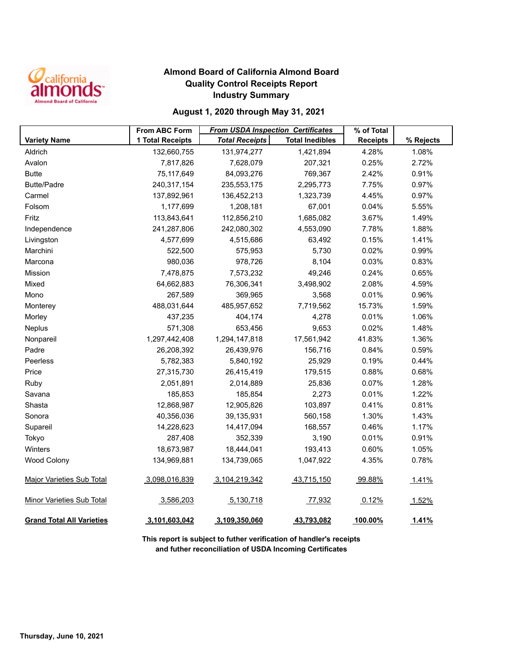

## **Almond Board of California Almond Board Quality Control Receipts Report Industry Summary**

## **August 1, 2020 through May 31, 2021**

|                                  | <b>From ABC Form</b> | <b>From USDA Inspection Certificates</b> |                        | % of Total      |           |
|----------------------------------|----------------------|------------------------------------------|------------------------|-----------------|-----------|
| <b>Variety Name</b>              | 1 Total Receipts     | <b>Total Receipts</b>                    | <b>Total Inedibles</b> | <b>Receipts</b> | % Rejects |
| Aldrich                          | 132,660,755          | 131,974,277                              | 1,421,894              | 4.28%           | 1.08%     |
| Avalon                           | 7,817,826            | 7,628,079                                | 207,321                | 0.25%           | 2.72%     |
| <b>Butte</b>                     | 75,117,649           | 84,093,276                               | 769,367                | 2.42%           | 0.91%     |
| <b>Butte/Padre</b>               | 240,317,154          | 235,553,175                              | 2,295,773              | 7.75%           | 0.97%     |
| Carmel                           | 137,892,961          | 136,452,213                              | 1,323,739              | 4.45%           | 0.97%     |
| Folsom                           | 1,177,699            | 1,208,181                                | 67,001                 | 0.04%           | 5.55%     |
| Fritz                            | 113,843,641          | 112,856,210                              | 1,685,082              | 3.67%           | 1.49%     |
| Independence                     | 241,287,806          | 242,080,302                              | 4,553,090              | 7.78%           | 1.88%     |
| Livingston                       | 4,577,699            | 4,515,686                                | 63,492                 | 0.15%           | 1.41%     |
| Marchini                         | 522,500              | 575,953                                  | 5,730                  | 0.02%           | 0.99%     |
| Marcona                          | 980,036              | 978,726                                  | 8,104                  | 0.03%           | 0.83%     |
| Mission                          | 7,478,875            | 7,573,232                                | 49,246                 | 0.24%           | 0.65%     |
| Mixed                            | 64,662,883           | 76,306,341                               | 3,498,902              | 2.08%           | 4.59%     |
| Mono                             | 267,589              | 369,965                                  | 3,568                  | 0.01%           | 0.96%     |
| Monterey                         | 488,031,644          | 485,957,652                              | 7,719,562              | 15.73%          | 1.59%     |
| Morley                           | 437,235              | 404,174                                  | 4,278                  | 0.01%           | 1.06%     |
| Neplus                           | 571,308              | 653,456                                  | 9,653                  | 0.02%           | 1.48%     |
| Nonpareil                        | 1,297,442,408        | 1,294,147,818                            | 17,561,942             | 41.83%          | 1.36%     |
| Padre                            | 26,208,392           | 26,439,976                               | 156,716                | 0.84%           | 0.59%     |
| Peerless                         | 5,782,383            | 5,840,192                                | 25,929                 | 0.19%           | 0.44%     |
| Price                            | 27,315,730           | 26,415,419                               | 179,515                | 0.88%           | 0.68%     |
| Ruby                             | 2,051,891            | 2,014,889                                | 25,836                 | 0.07%           | 1.28%     |
| Savana                           | 185,853              | 185,854                                  | 2,273                  | 0.01%           | 1.22%     |
| Shasta                           | 12,868,987           | 12,905,826                               | 103,897                | 0.41%           | 0.81%     |
| Sonora                           | 40,356,036           | 39,135,931                               | 560,158                | 1.30%           | 1.43%     |
| Supareil                         | 14,228,623           | 14,417,094                               | 168,557                | 0.46%           | 1.17%     |
| Tokyo                            | 287,408              | 352,339                                  | 3,190                  | 0.01%           | 0.91%     |
| Winters                          | 18,673,987           | 18,444,041                               | 193,413                | 0.60%           | 1.05%     |
| Wood Colony                      | 134,969,881          | 134,739,065                              | 1,047,922              | 4.35%           | 0.78%     |
| <b>Major Varieties Sub Total</b> | 3,098,016,839        | 3,104,219,342                            | 43,715,150             | 99.88%          | 1.41%     |
|                                  |                      |                                          |                        |                 |           |
| <b>Minor Varieties Sub Total</b> | 3,586,203            | 5,130,718                                | 77,932                 | 0.12%           | 1.52%     |
| <b>Grand Total All Varieties</b> | 3,101,603,042        | 3,109,350,060                            | 43,793,082             | 100.00%         | 1.41%     |

**This report is subject to futher verification of handler's receipts and futher reconciliation of USDA Incoming Certificates**